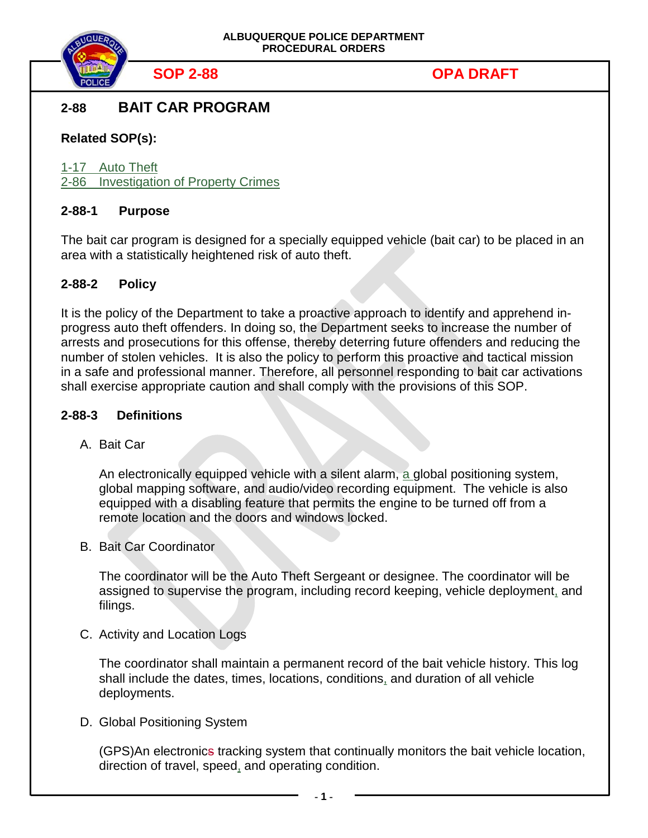

# **2-88 BAIT CAR PROGRAM**

# **Related SOP(s):**

1-17 Auto Theft 2-86 Investigation of Property Crimes

## **2-88-1 Purpose**

The bait car program is designed for a specially equipped vehicle (bait car) to be placed in an area with a statistically heightened risk of auto theft.

## **2-88-2 Policy**

It is the policy of the Department to take a proactive approach to identify and apprehend inprogress auto theft offenders. In doing so, the Department seeks to increase the number of arrests and prosecutions for this offense, thereby deterring future offenders and reducing the number of stolen vehicles. It is also the policy to perform this proactive and tactical mission in a safe and professional manner. Therefore, all personnel responding to bait car activations shall exercise appropriate caution and shall comply with the provisions of this SOP.

## **2-88-3 Definitions**

A. Bait Car

An electronically equipped vehicle with a silent alarm, a global positioning system, global mapping software, and audio/video recording equipment. The vehicle is also equipped with a disabling feature that permits the engine to be turned off from a remote location and the doors and windows locked.

B. Bait Car Coordinator

The coordinator will be the Auto Theft Sergeant or designee. The coordinator will be assigned to supervise the program, including record keeping, vehicle deployment, and filings.

C. Activity and Location Logs

The coordinator shall maintain a permanent record of the bait vehicle history. This log shall include the dates, times, locations, conditions, and duration of all vehicle deployments.

D. Global Positioning System

(GPS)An electronics tracking system that continually monitors the bait vehicle location, direction of travel, speed, and operating condition.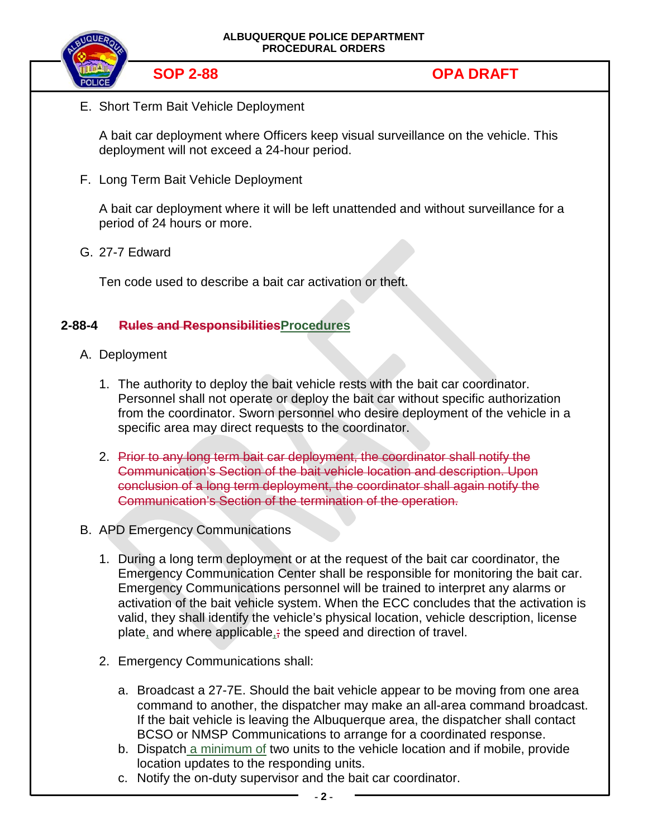

E. Short Term Bait Vehicle Deployment

A bait car deployment where Officers keep visual surveillance on the vehicle. This deployment will not exceed a 24-hour period.

F. Long Term Bait Vehicle Deployment

A bait car deployment where it will be left unattended and without surveillance for a period of 24 hours or more.

G. 27-7 Edward

Ten code used to describe a bait car activation or theft.

## **2-88-4 Rules and ResponsibilitiesProcedures**

- A. Deployment
	- 1. The authority to deploy the bait vehicle rests with the bait car coordinator. Personnel shall not operate or deploy the bait car without specific authorization from the coordinator. Sworn personnel who desire deployment of the vehicle in a specific area may direct requests to the coordinator.
	- 2. Prior to any long term bait car deployment, the coordinator shall notify the Communication's Section of the bait vehicle location and description. Upon conclusion of a long term deployment, the coordinator shall again notify the Communication's Section of the termination of the operation.
- B. APD Emergency Communications
	- 1. During a long term deployment or at the request of the bait car coordinator, the Emergency Communication Center shall be responsible for monitoring the bait car. Emergency Communications personnel will be trained to interpret any alarms or activation of the bait vehicle system. When the ECC concludes that the activation is valid, they shall identify the vehicle's physical location, vehicle description, license plate, and where applicable<sub> $i$ </sub>; the speed and direction of travel.
	- 2. Emergency Communications shall:
		- a. Broadcast a 27-7E. Should the bait vehicle appear to be moving from one area command to another, the dispatcher may make an all-area command broadcast. If the bait vehicle is leaving the Albuquerque area, the dispatcher shall contact BCSO or NMSP Communications to arrange for a coordinated response.
		- b. Dispatch a minimum of two units to the vehicle location and if mobile, provide location updates to the responding units.
		- c. Notify the on-duty supervisor and the bait car coordinator.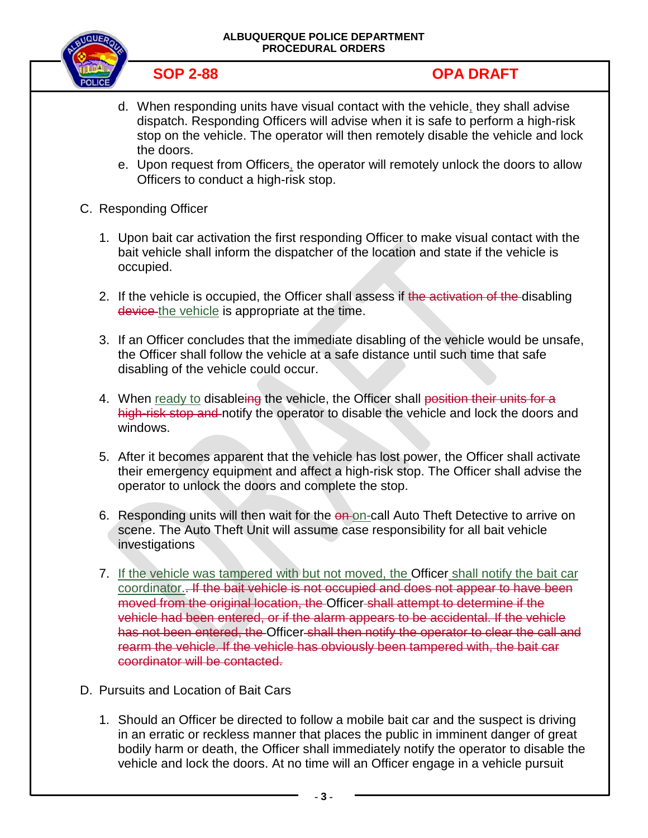### **ALBUQUERQUE POLICE DEPARTMENT PROCEDURAL ORDERS**



- d. When responding units have visual contact with the vehicle, they shall advise dispatch. Responding Officers will advise when it is safe to perform a high-risk stop on the vehicle. The operator will then remotely disable the vehicle and lock the doors.
- e. Upon request from Officers, the operator will remotely unlock the doors to allow Officers to conduct a high-risk stop.
- C. Responding Officer
	- 1. Upon bait car activation the first responding Officer to make visual contact with the bait vehicle shall inform the dispatcher of the location and state if the vehicle is occupied.
	- 2. If the vehicle is occupied, the Officer shall assess if the activation of the disabling device the vehicle is appropriate at the time.
	- 3. If an Officer concludes that the immediate disabling of the vehicle would be unsafe, the Officer shall follow the vehicle at a safe distance until such time that safe disabling of the vehicle could occur.
	- 4. When ready to disableing the vehicle, the Officer shall position their units for a high-risk stop and notify the operator to disable the vehicle and lock the doors and windows.
	- 5. After it becomes apparent that the vehicle has lost power, the Officer shall activate their emergency equipment and affect a high-risk stop. The Officer shall advise the operator to unlock the doors and complete the stop.
	- 6. Responding units will then wait for the on-on-call Auto Theft Detective to arrive on scene. The Auto Theft Unit will assume case responsibility for all bait vehicle investigations
	- 7. If the vehicle was tampered with but not moved, the Officer shall notify the bait car coordinator.. If the bait vehicle is not occupied and does not appear to have been moved from the original location, the Officer shall attempt to determine if the vehicle had been entered, or if the alarm appears to be accidental. If the vehicle has not been entered, the Officer shall then notify the operator to clear the call and rearm the vehicle. If the vehicle has obviously been tampered with, the bait car coordinator will be contacted.
- D. Pursuits and Location of Bait Cars
	- 1. Should an Officer be directed to follow a mobile bait car and the suspect is driving in an erratic or reckless manner that places the public in imminent danger of great bodily harm or death, the Officer shall immediately notify the operator to disable the vehicle and lock the doors. At no time will an Officer engage in a vehicle pursuit